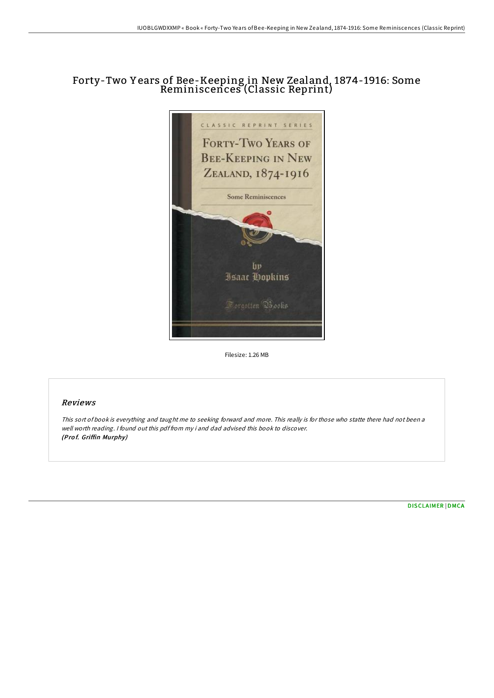# Forty-Two Y ears of Bee-Keeping in New Zealand, 1874-1916: Some Reminiscences (Classic Reprint)



Filesize: 1.26 MB

#### Reviews

This sort of book is everything and taught me to seeking forward and more. This really is for those who statte there had not been <sup>a</sup> well worth reading. <sup>I</sup> found out this pdf from my i and dad advised this book to discover. (Pro f. Griffin Murphy)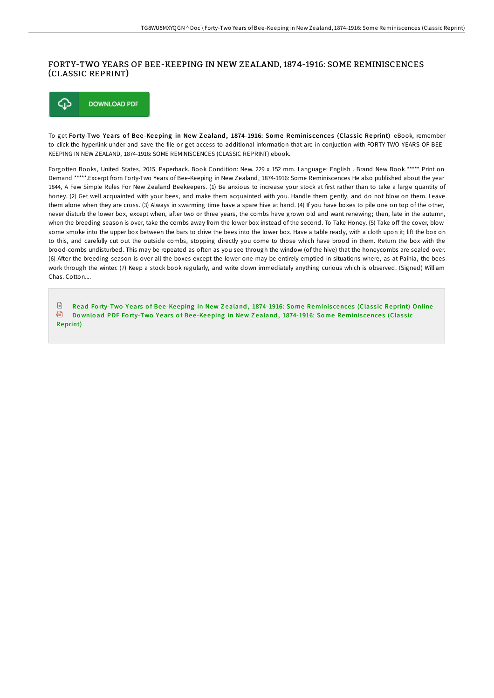### FORTY-TWO YEARS OF BEE-KEEPING IN NEW ZEALAND, 1874-1916: SOME REMINISCENCES (CLASSIC REPRINT)



To get Forty-Two Years of Bee-Keeping in New Zealand, 1874-1916: Some Reminiscences (Classic Reprint) eBook, remember to click the hyperlink under and save the file or get access to additional information that are in conjuction with FORTY-TWO YEARS OF BEE-KEEPING IN NEW ZEALAND, 1874-1916: SOME REMINISCENCES (CLASSIC REPRINT) ebook.

Forgotten Books, United States, 2015. Paperback. Book Condition: New. 229 x 152 mm. Language: English . Brand New Book \*\*\*\*\* Print on Demand \*\*\*\*\*.Excerpt from Forty-Two Years of Bee-Keeping in New Zealand, 1874-1916: Some Reminiscences He also published about the year 1844, A Few Simple Rules For New Zealand Beekeepers. (1) Be anxious to increase your stock at first rather than to take a large quantity of honey. (2) Get well acquainted with your bees, and make them acquainted with you. Handle them gently, and do not blow on them. Leave them alone when they are cross. (3) Always in swarming time have a spare hive at hand. (4) If you have boxes to pile one on top of the other, never disturb the lower box, except when, after two or three years, the combs have grown old and want renewing; then, late in the autumn, when the breeding season is over, take the combs away from the lower box instead of the second. To Take Honey. (5) Take off the cover, blow some smoke into the upper box between the bars to drive the bees into the lower box. Have a table ready, with a cloth upon it; lift the box on to this, and carefully cut out the outside combs, stopping directly you come to those which have brood in them. Return the box with the brood-combs undisturbed. This may be repeated as often as you see through the window (of the hive) that the honeycombs are sealed over. (6) AIer the breeding season is over all the boxes except the lower one may be entirely emptied in situations where, as at Paihia, the bees work through the winter. (7) Keep a stock book regularly, and write down immediately anything curious which is observed. (Signed) William Chas. Cotton....

 $\Box$ Read Forty-Two Years of Bee-Keeping in New Zealand, [1874-1916:](http://almighty24.tech/forty-two-years-of-bee-keeping-in-new-zealand-18.html) Some Reminiscences (Classic Reprint) Online <sup>n</sup> Download PDF Forty-Two Years of Bee-Keeping in New Zealand, [1874-1916:](http://almighty24.tech/forty-two-years-of-bee-keeping-in-new-zealand-18.html) Some Reminiscences (Classic Reprint)